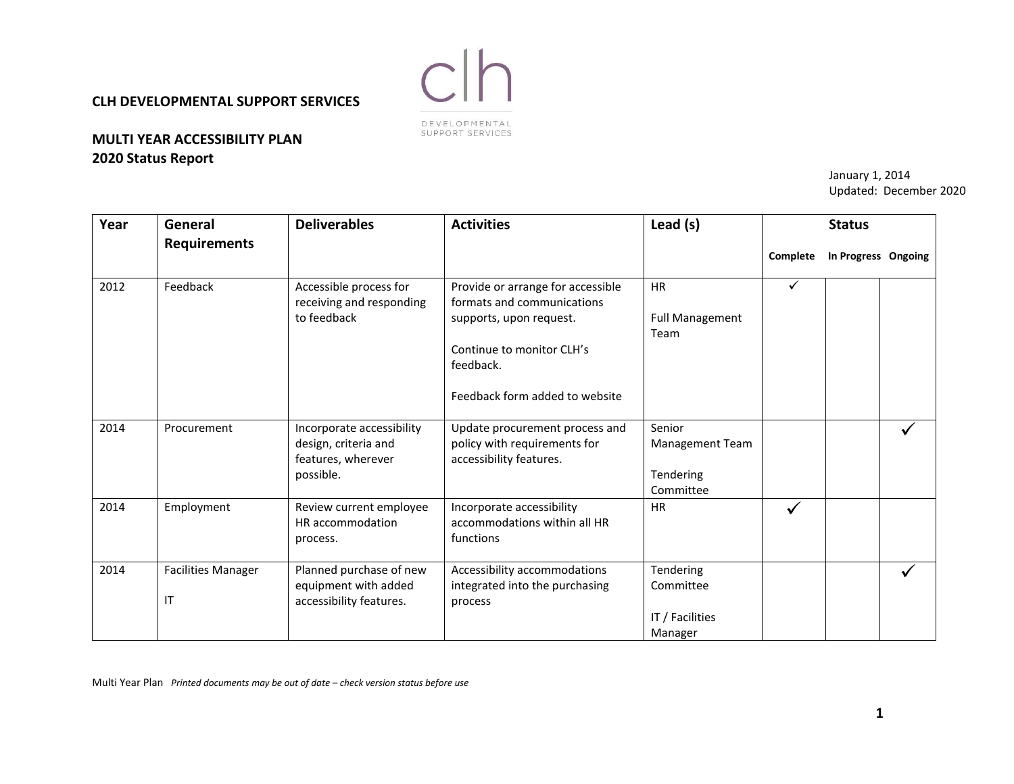## **CLH DEVELOPMENTAL SUPPORT SERVICES**

## **MULTI YEAR ACCESSIBILITY PLAN 2020 Status Report**

 $clh$ DEVELOPMENTAL SUPPORT SERVICES

> January 1, 2014 Updated: December 2020

| Year | General                         | <b>Deliverables</b>                                                                  | <b>Activities</b>                                                                                                                                                      | Lead (s)                                             |              | <b>Status</b>       |  |
|------|---------------------------------|--------------------------------------------------------------------------------------|------------------------------------------------------------------------------------------------------------------------------------------------------------------------|------------------------------------------------------|--------------|---------------------|--|
|      | <b>Requirements</b>             |                                                                                      |                                                                                                                                                                        |                                                      | Complete     | In Progress Ongoing |  |
| 2012 | Feedback                        | Accessible process for<br>receiving and responding<br>to feedback                    | Provide or arrange for accessible<br>formats and communications<br>supports, upon request.<br>Continue to monitor CLH's<br>feedback.<br>Feedback form added to website | <b>HR</b><br><b>Full Management</b><br>Team          | $\checkmark$ |                     |  |
| 2014 | Procurement                     | Incorporate accessibility<br>design, criteria and<br>features, wherever<br>possible. | Update procurement process and<br>policy with requirements for<br>accessibility features.                                                                              | Senior<br>Management Team<br>Tendering<br>Committee  |              |                     |  |
| 2014 | Employment                      | Review current employee<br>HR accommodation<br>process.                              | Incorporate accessibility<br>accommodations within all HR<br>functions                                                                                                 | <b>HR</b>                                            | ✓            |                     |  |
| 2014 | <b>Facilities Manager</b><br>IT | Planned purchase of new<br>equipment with added<br>accessibility features.           | Accessibility accommodations<br>integrated into the purchasing<br>process                                                                                              | Tendering<br>Committee<br>IT / Facilities<br>Manager |              |                     |  |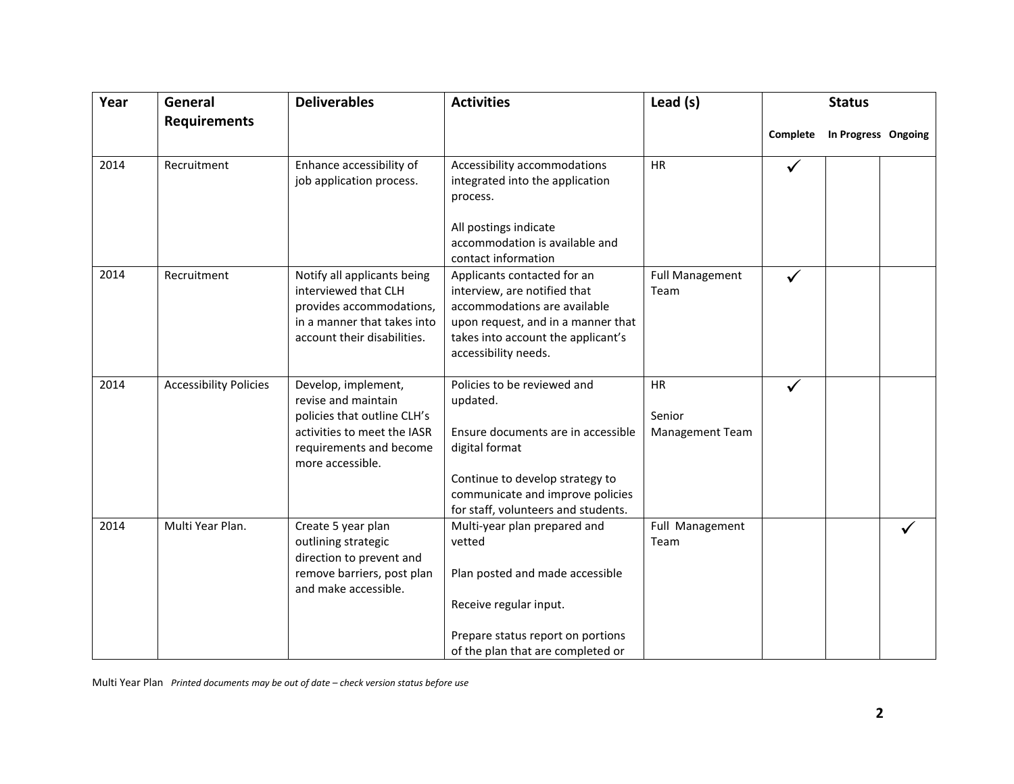| Year | General                       | <b>Deliverables</b>                                                                                                                                     | <b>Activities</b>                                                                                                                                                                                             | Lead (s)                               | <b>Status</b> |                     |  |  |
|------|-------------------------------|---------------------------------------------------------------------------------------------------------------------------------------------------------|---------------------------------------------------------------------------------------------------------------------------------------------------------------------------------------------------------------|----------------------------------------|---------------|---------------------|--|--|
|      | <b>Requirements</b>           |                                                                                                                                                         |                                                                                                                                                                                                               |                                        | Complete      | In Progress Ongoing |  |  |
| 2014 | Recruitment                   | Enhance accessibility of<br>job application process.                                                                                                    | Accessibility accommodations<br>integrated into the application<br>process.<br>All postings indicate<br>accommodation is available and<br>contact information                                                 | <b>HR</b>                              | ✓             |                     |  |  |
| 2014 | Recruitment                   | Notify all applicants being<br>interviewed that CLH<br>provides accommodations,<br>in a manner that takes into<br>account their disabilities.           | Applicants contacted for an<br>interview, are notified that<br>accommodations are available<br>upon request, and in a manner that<br>takes into account the applicant's<br>accessibility needs.               | <b>Full Management</b><br>Team         | ✓             |                     |  |  |
| 2014 | <b>Accessibility Policies</b> | Develop, implement,<br>revise and maintain<br>policies that outline CLH's<br>activities to meet the IASR<br>requirements and become<br>more accessible. | Policies to be reviewed and<br>updated.<br>Ensure documents are in accessible<br>digital format<br>Continue to develop strategy to<br>communicate and improve policies<br>for staff, volunteers and students. | <b>HR</b><br>Senior<br>Management Team | $\checkmark$  |                     |  |  |
| 2014 | Multi Year Plan.              | Create 5 year plan<br>outlining strategic<br>direction to prevent and<br>remove barriers, post plan<br>and make accessible.                             | Multi-year plan prepared and<br>vetted<br>Plan posted and made accessible<br>Receive regular input.<br>Prepare status report on portions<br>of the plan that are completed or                                 | Full Management<br>Team                |               |                     |  |  |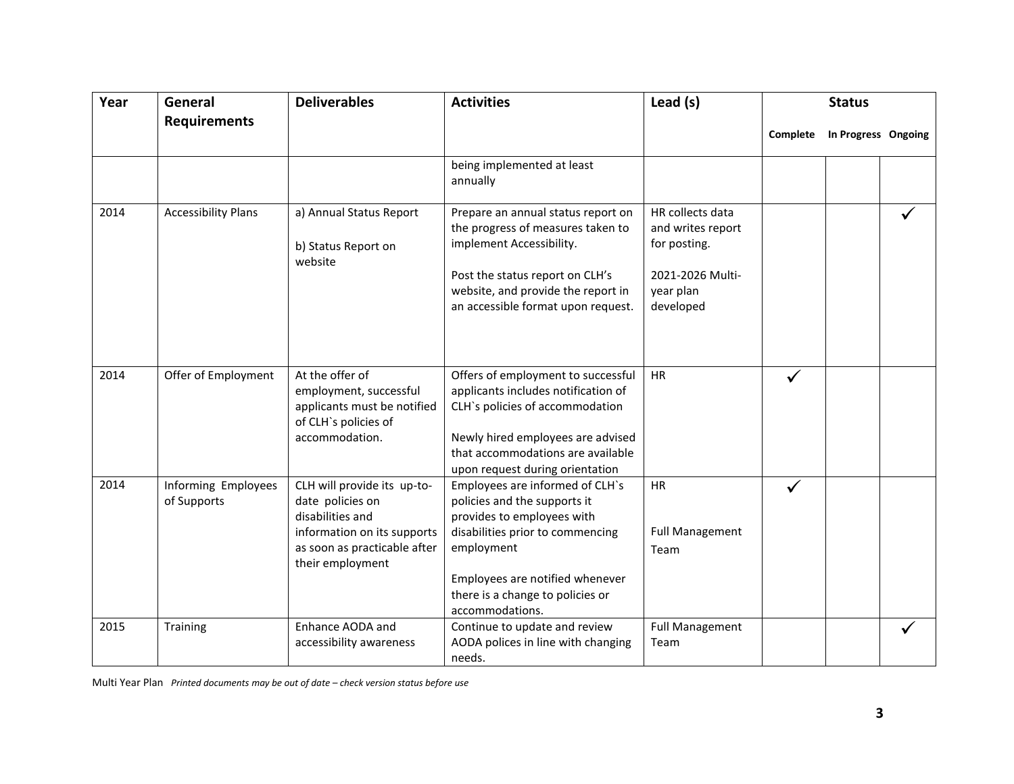| Year | General                            | <b>Deliverables</b>                                                                                                                                    | <b>Activities</b>                                                                                                                                                                                                                         | Lead (s)                                                                                            | <b>Status</b> |                     |  |
|------|------------------------------------|--------------------------------------------------------------------------------------------------------------------------------------------------------|-------------------------------------------------------------------------------------------------------------------------------------------------------------------------------------------------------------------------------------------|-----------------------------------------------------------------------------------------------------|---------------|---------------------|--|
|      | <b>Requirements</b>                |                                                                                                                                                        |                                                                                                                                                                                                                                           |                                                                                                     | Complete      | In Progress Ongoing |  |
|      |                                    |                                                                                                                                                        | being implemented at least<br>annually                                                                                                                                                                                                    |                                                                                                     |               |                     |  |
| 2014 | <b>Accessibility Plans</b>         | a) Annual Status Report<br>b) Status Report on<br>website                                                                                              | Prepare an annual status report on<br>the progress of measures taken to<br>implement Accessibility.<br>Post the status report on CLH's<br>website, and provide the report in<br>an accessible format upon request.                        | HR collects data<br>and writes report<br>for posting.<br>2021-2026 Multi-<br>year plan<br>developed |               |                     |  |
| 2014 | Offer of Employment                | At the offer of<br>employment, successful<br>applicants must be notified<br>of CLH's policies of<br>accommodation.                                     | Offers of employment to successful<br>applicants includes notification of<br>CLH's policies of accommodation<br>Newly hired employees are advised<br>that accommodations are available<br>upon request during orientation                 | <b>HR</b>                                                                                           |               |                     |  |
| 2014 | Informing Employees<br>of Supports | CLH will provide its up-to-<br>date policies on<br>disabilities and<br>information on its supports<br>as soon as practicable after<br>their employment | Employees are informed of CLH's<br>policies and the supports it<br>provides to employees with<br>disabilities prior to commencing<br>employment<br>Employees are notified whenever<br>there is a change to policies or<br>accommodations. | <b>HR</b><br><b>Full Management</b><br>Team                                                         |               |                     |  |
| 2015 | Training                           | Enhance AODA and<br>accessibility awareness                                                                                                            | Continue to update and review<br>AODA polices in line with changing<br>needs.                                                                                                                                                             | <b>Full Management</b><br>Team                                                                      |               |                     |  |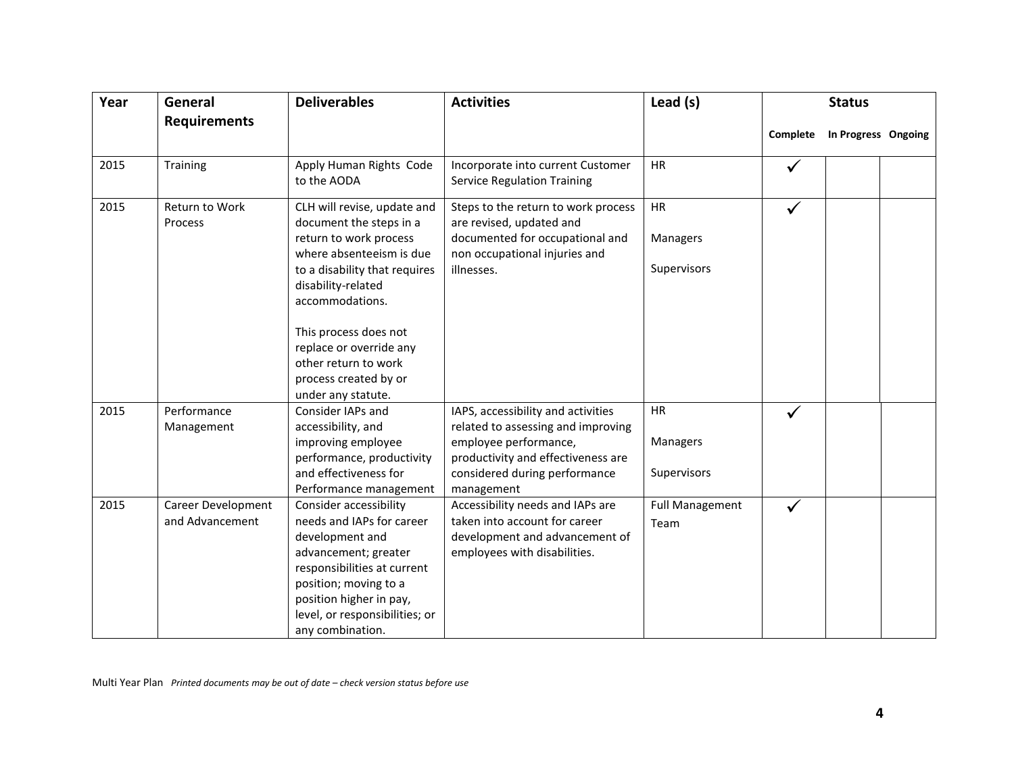| Year | General                               | <b>Deliverables</b>                                                                                                                                                                                                                                                                                               | <b>Activities</b>                                                                                                                                                                      | Lead (s)                                    | <b>Status</b> |                     |  |  |
|------|---------------------------------------|-------------------------------------------------------------------------------------------------------------------------------------------------------------------------------------------------------------------------------------------------------------------------------------------------------------------|----------------------------------------------------------------------------------------------------------------------------------------------------------------------------------------|---------------------------------------------|---------------|---------------------|--|--|
|      | <b>Requirements</b>                   |                                                                                                                                                                                                                                                                                                                   |                                                                                                                                                                                        |                                             | Complete      | In Progress Ongoing |  |  |
| 2015 | Training                              | Apply Human Rights Code<br>to the AODA                                                                                                                                                                                                                                                                            | Incorporate into current Customer<br><b>Service Regulation Training</b>                                                                                                                | <b>HR</b>                                   |               |                     |  |  |
| 2015 | <b>Return to Work</b><br>Process      | CLH will revise, update and<br>document the steps in a<br>return to work process<br>where absenteeism is due<br>to a disability that requires<br>disability-related<br>accommodations.<br>This process does not<br>replace or override any<br>other return to work<br>process created by or<br>under any statute. | Steps to the return to work process<br>are revised, updated and<br>documented for occupational and<br>non occupational injuries and<br>illnesses.                                      | <b>HR</b><br>Managers<br>Supervisors        | $\checkmark$  |                     |  |  |
| 2015 | Performance<br>Management             | Consider IAPs and<br>accessibility, and<br>improving employee<br>performance, productivity<br>and effectiveness for<br>Performance management                                                                                                                                                                     | IAPS, accessibility and activities<br>related to assessing and improving<br>employee performance,<br>productivity and effectiveness are<br>considered during performance<br>management | <b>HR</b><br><b>Managers</b><br>Supervisors | $\checkmark$  |                     |  |  |
| 2015 | Career Development<br>and Advancement | Consider accessibility<br>needs and IAPs for career<br>development and<br>advancement; greater<br>responsibilities at current<br>position; moving to a<br>position higher in pay,<br>level, or responsibilities; or<br>any combination.                                                                           | Accessibility needs and IAPs are<br>taken into account for career<br>development and advancement of<br>employees with disabilities.                                                    | <b>Full Management</b><br>Team              | $\checkmark$  |                     |  |  |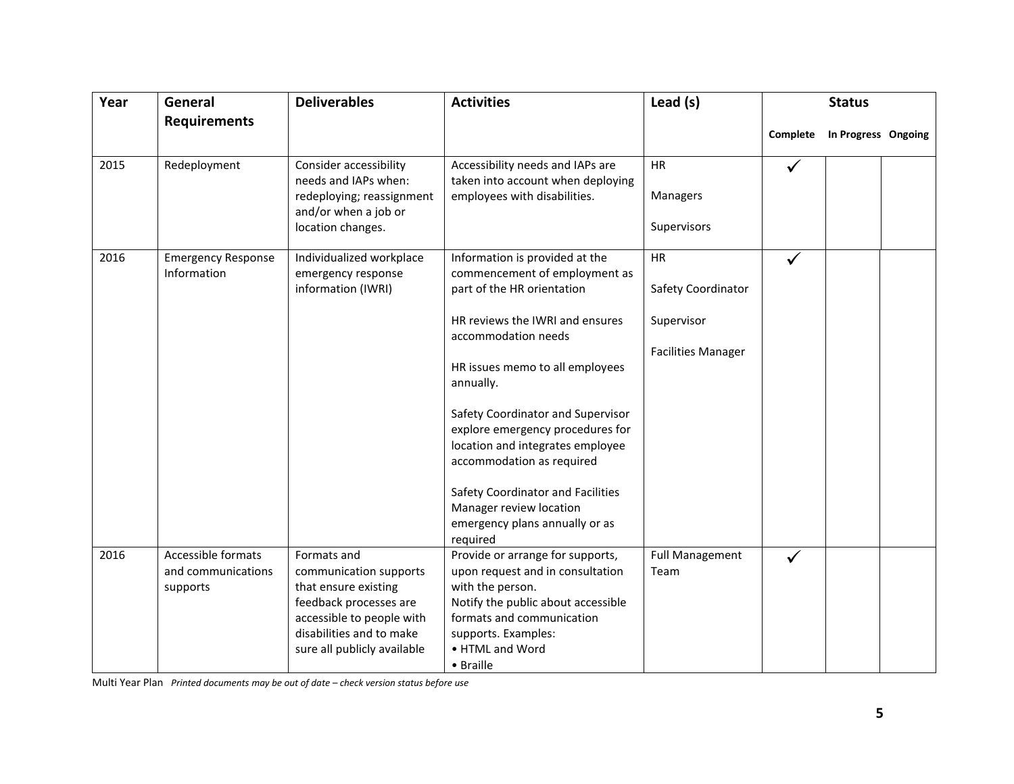| Year | General                                              | <b>Deliverables</b>                                                                                                                                                             | <b>Activities</b>                                                                                                                                                                                                                                                                                                                                                                                                                                               | Lead (s)                                                            | <b>Status</b>   |                     |  |  |
|------|------------------------------------------------------|---------------------------------------------------------------------------------------------------------------------------------------------------------------------------------|-----------------------------------------------------------------------------------------------------------------------------------------------------------------------------------------------------------------------------------------------------------------------------------------------------------------------------------------------------------------------------------------------------------------------------------------------------------------|---------------------------------------------------------------------|-----------------|---------------------|--|--|
|      | <b>Requirements</b>                                  |                                                                                                                                                                                 |                                                                                                                                                                                                                                                                                                                                                                                                                                                                 |                                                                     | <b>Complete</b> | In Progress Ongoing |  |  |
| 2015 | Redeployment                                         | <b>Consider accessibility</b><br>needs and IAPs when:<br>redeploying; reassignment<br>and/or when a job or<br>location changes.                                                 | Accessibility needs and IAPs are<br>taken into account when deploying<br>employees with disabilities.                                                                                                                                                                                                                                                                                                                                                           | HR<br>Managers<br>Supervisors                                       | ✓               |                     |  |  |
| 2016 | <b>Emergency Response</b><br>Information             | Individualized workplace<br>emergency response<br>information (IWRI)                                                                                                            | Information is provided at the<br>commencement of employment as<br>part of the HR orientation<br>HR reviews the IWRI and ensures<br>accommodation needs<br>HR issues memo to all employees<br>annually.<br>Safety Coordinator and Supervisor<br>explore emergency procedures for<br>location and integrates employee<br>accommodation as required<br>Safety Coordinator and Facilities<br>Manager review location<br>emergency plans annually or as<br>required | HR<br>Safety Coordinator<br>Supervisor<br><b>Facilities Manager</b> | $\checkmark$    |                     |  |  |
| 2016 | Accessible formats<br>and communications<br>supports | Formats and<br>communication supports<br>that ensure existing<br>feedback processes are<br>accessible to people with<br>disabilities and to make<br>sure all publicly available | Provide or arrange for supports,<br>upon request and in consultation<br>with the person.<br>Notify the public about accessible<br>formats and communication<br>supports. Examples:<br>• HTML and Word<br>• Braille                                                                                                                                                                                                                                              | <b>Full Management</b><br>Team                                      | $\checkmark$    |                     |  |  |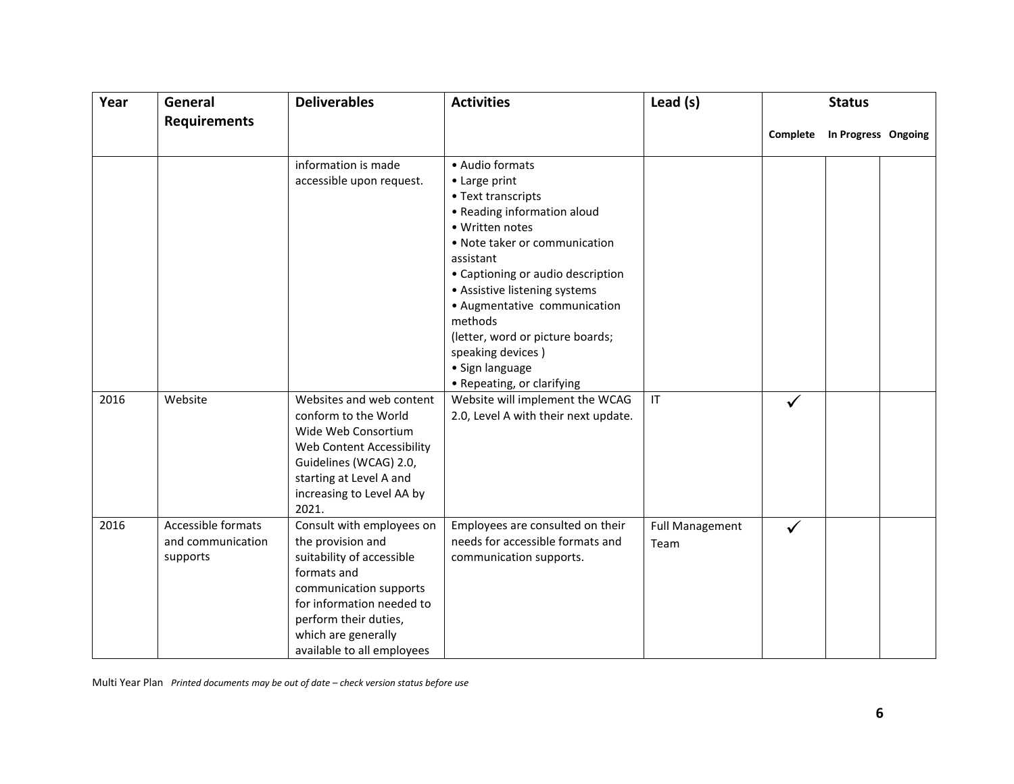| Year | General                                             | <b>Deliverables</b>                                                                                                                                                                                                             | <b>Activities</b>                                                                                                                                                                                                                                                                                                                                                                 | Lead (s)                       | <b>Status</b> |                              |  |  |
|------|-----------------------------------------------------|---------------------------------------------------------------------------------------------------------------------------------------------------------------------------------------------------------------------------------|-----------------------------------------------------------------------------------------------------------------------------------------------------------------------------------------------------------------------------------------------------------------------------------------------------------------------------------------------------------------------------------|--------------------------------|---------------|------------------------------|--|--|
|      | <b>Requirements</b>                                 |                                                                                                                                                                                                                                 |                                                                                                                                                                                                                                                                                                                                                                                   |                                |               | Complete In Progress Ongoing |  |  |
|      |                                                     | information is made<br>accessible upon request.                                                                                                                                                                                 | • Audio formats<br>• Large print<br>• Text transcripts<br>• Reading information aloud<br>• Written notes<br>• Note taker or communication<br>assistant<br>• Captioning or audio description<br>• Assistive listening systems<br>• Augmentative communication<br>methods<br>(letter, word or picture boards;<br>speaking devices)<br>• Sign language<br>• Repeating, or clarifying |                                |               |                              |  |  |
| 2016 | Website                                             | Websites and web content<br>conform to the World<br>Wide Web Consortium<br>Web Content Accessibility<br>Guidelines (WCAG) 2.0,<br>starting at Level A and<br>increasing to Level AA by<br>2021.                                 | Website will implement the WCAG<br>2.0, Level A with their next update.                                                                                                                                                                                                                                                                                                           | IT                             | $\checkmark$  |                              |  |  |
| 2016 | Accessible formats<br>and communication<br>supports | Consult with employees on<br>the provision and<br>suitability of accessible<br>formats and<br>communication supports<br>for information needed to<br>perform their duties,<br>which are generally<br>available to all employees | Employees are consulted on their<br>needs for accessible formats and<br>communication supports.                                                                                                                                                                                                                                                                                   | <b>Full Management</b><br>Team | $\checkmark$  |                              |  |  |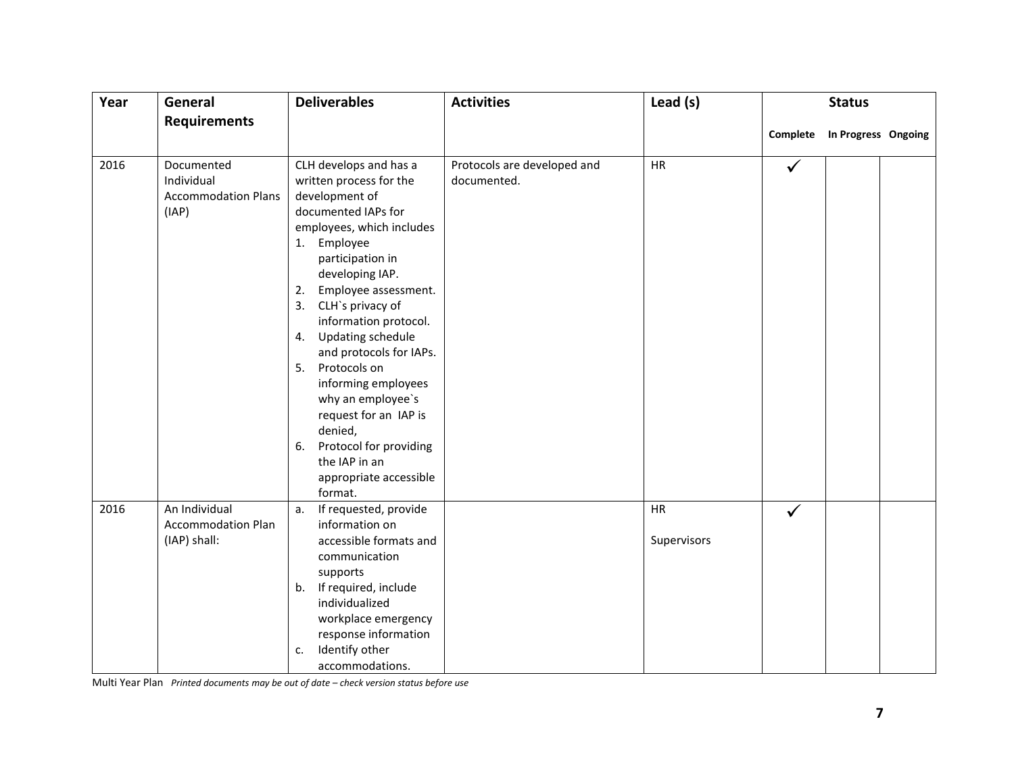| Year | General                                                         | <b>Deliverables</b>                                                                                                                                                                                                                                                                                                                                                                                                                                                                                                        | <b>Activities</b>                          | Lead (s)                 | <b>Status</b> |                              |  |
|------|-----------------------------------------------------------------|----------------------------------------------------------------------------------------------------------------------------------------------------------------------------------------------------------------------------------------------------------------------------------------------------------------------------------------------------------------------------------------------------------------------------------------------------------------------------------------------------------------------------|--------------------------------------------|--------------------------|---------------|------------------------------|--|
|      | <b>Requirements</b>                                             |                                                                                                                                                                                                                                                                                                                                                                                                                                                                                                                            |                                            |                          |               | Complete In Progress Ongoing |  |
| 2016 | Documented<br>Individual<br><b>Accommodation Plans</b><br>(IAP) | CLH develops and has a<br>written process for the<br>development of<br>documented IAPs for<br>employees, which includes<br>Employee<br>1.<br>participation in<br>developing IAP.<br>Employee assessment.<br>2.<br>CLH's privacy of<br>3.<br>information protocol.<br><b>Updating schedule</b><br>4.<br>and protocols for IAPs.<br>Protocols on<br>5.<br>informing employees<br>why an employee's<br>request for an IAP is<br>denied,<br>Protocol for providing<br>6.<br>the IAP in an<br>appropriate accessible<br>format. | Protocols are developed and<br>documented. | HR                       | $\checkmark$  |                              |  |
| 2016 | An Individual<br><b>Accommodation Plan</b><br>(IAP) shall:      | If requested, provide<br>a.<br>information on<br>accessible formats and<br>communication<br>supports<br>If required, include<br>b.<br>individualized<br>workplace emergency<br>response information<br>Identify other<br>c.<br>accommodations.                                                                                                                                                                                                                                                                             |                                            | <b>HR</b><br>Supervisors | $\checkmark$  |                              |  |